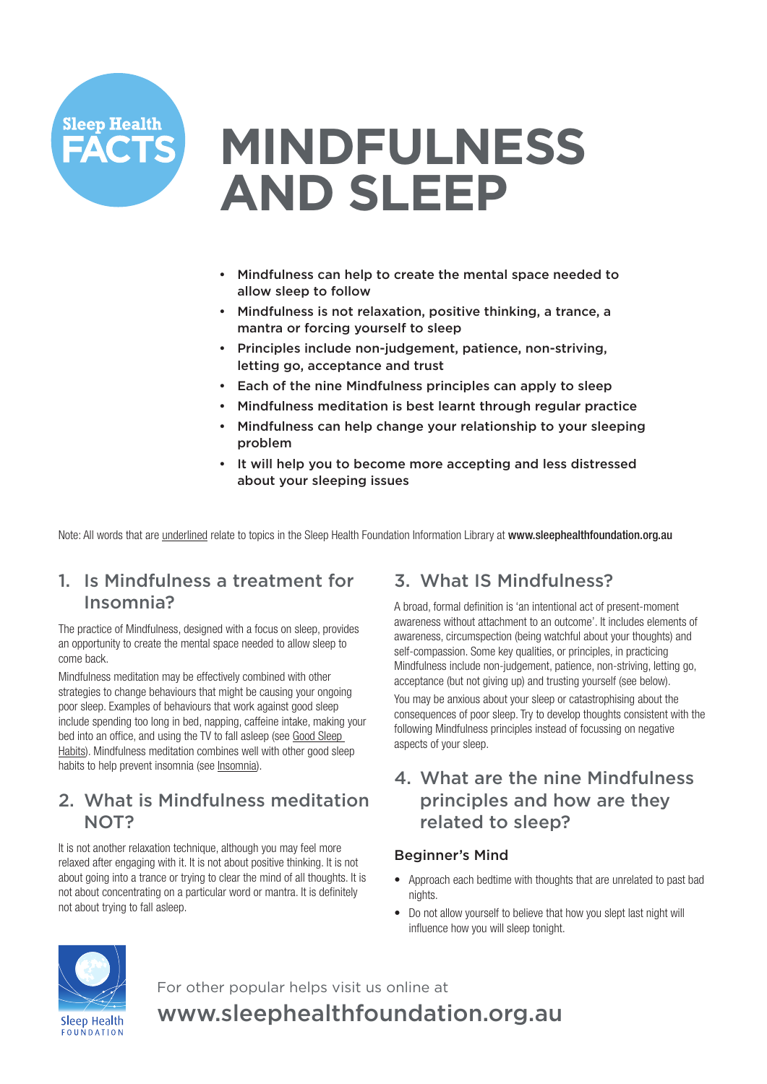

# **MINDFULNESS AND SLEEP**

- Mindfulness can help to create the mental space needed to allow sleep to follow
- Mindfulness is not relaxation, positive thinking, a trance, a mantra or forcing yourself to sleep
- Principles include non-judgement, patience, non-striving, letting go, acceptance and trust
- Each of the nine Mindfulness principles can apply to sleep
- Mindfulness meditation is best learnt through regular practice
- Mindfulness can help change your relationship to your sleeping problem
- It will help you to become more accepting and less distressed about your sleeping issues

Note: All words that are underlined relate to topics in the Sleep Health Foundation Information Library at www.sleephealthfoundation.org.au

## 1. Is Mindfulness a treatment for Insomnia?

The practice of Mindfulness, designed with a focus on sleep, provides an opportunity to create the mental space needed to allow sleep to come back.

Mindfulness meditation may be effectively combined with other strategies to change behaviours that might be causing your ongoing poor sleep. Examples of behaviours that work against good sleep include spending too long in bed, napping, caffeine intake, making your bed into an office, and using the TV to fall asleep (see Good Sleep Habits). Mindfulness meditation combines well with other good sleep habits to help prevent insomnia (see Insomnia).

## 2. What is Mindfulness meditation NOT?

It is not another relaxation technique, although you may feel more relaxed after engaging with it. It is not about positive thinking. It is not about going into a trance or trying to clear the mind of all thoughts. It is not about concentrating on a particular word or mantra. It is definitely not about trying to fall asleep.

# 3. What IS Mindfulness?

A broad, formal definition is 'an intentional act of present-moment awareness without attachment to an outcome'. It includes elements of awareness, circumspection (being watchful about your thoughts) and self-compassion. Some key qualities, or principles, in practicing Mindfulness include non-judgement, patience, non-striving, letting go, acceptance (but not giving up) and trusting yourself (see below). You may be anxious about your sleep or catastrophising about the consequences of poor sleep. Try to develop thoughts consistent with the following Mindfulness principles instead of focussing on negative aspects of your sleep.

## 4. What are the nine Mindfulness principles and how are they related to sleep?

#### Beginner's Mind

- Approach each bedtime with thoughts that are unrelated to past bad nights.
- Do not allow yourself to believe that how you slept last night will influence how you will sleep tonight.



For other popular helps visit us online at www.sleephealthfoundation.org.au